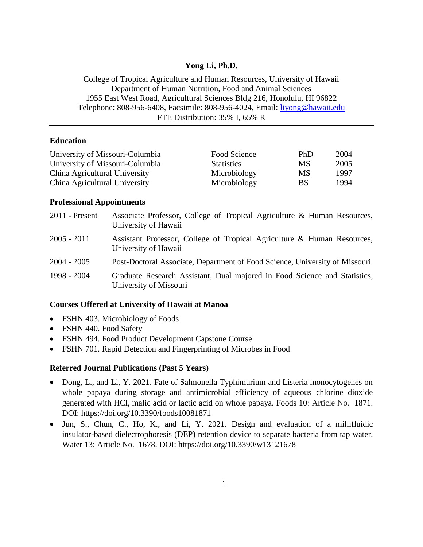### **Yong Li, Ph.D.**

College of Tropical Agriculture and Human Resources, University of Hawaii Department of Human Nutrition, Food and Animal Sciences 1955 East West Road, Agricultural Sciences Bldg 216, Honolulu, HI 96822 Telephone: 808-956-6408, Facsimile: 808-956-4024, Email: [liyong@hawaii.edu](mailto:liyong@hawaii.edu) FTE Distribution: 35% I, 65% R

## **Education**

| University of Missouri-Columbia | Food Science      | PhD | 2004 |
|---------------------------------|-------------------|-----|------|
| University of Missouri-Columbia | <b>Statistics</b> | MS  | 2005 |
| China Agricultural University   | Microbiology      | MS  | 1997 |
| China Agricultural University   | Microbiology      | BS  | 1994 |

#### **Professional Appointments**

| $2011$ - Present | Associate Professor, College of Tropical Agriculture & Human Resources,<br>University of Hawaii     |
|------------------|-----------------------------------------------------------------------------------------------------|
| $2005 - 2011$    | Assistant Professor, College of Tropical Agriculture & Human Resources,<br>University of Hawaii     |
| $2004 - 2005$    | Post-Doctoral Associate, Department of Food Science, University of Missouri                         |
| 1998 - 2004      | Graduate Research Assistant, Dual majored in Food Science and Statistics,<br>University of Missouri |

### **Courses Offered at University of Hawaii at Manoa**

- FSHN 403. Microbiology of Foods
- FSHN 440. Food Safety
- FSHN 494. Food Product Development Capstone Course
- FSHN 701. Rapid Detection and Fingerprinting of Microbes in Food

#### **Referred Journal Publications (Past 5 Years)**

- Dong, L., and Li, Y. 2021. Fate of Salmonella Typhimurium and Listeria monocytogenes on whole papaya during storage and antimicrobial efficiency of aqueous chlorine dioxide generated with HCl, malic acid or lactic acid on whole papaya. Foods 10: Article No. 1871. DOI: https://doi.org/10.3390/foods10081871
- Jun, S., Chun, C., Ho, K., and Li, Y. 2021. Design and evaluation of a millifluidic insulator-based dielectrophoresis (DEP) retention device to separate bacteria from tap water. Water 13: Article No. 1678. DOI: <https://doi.org/10.3390/w13121678>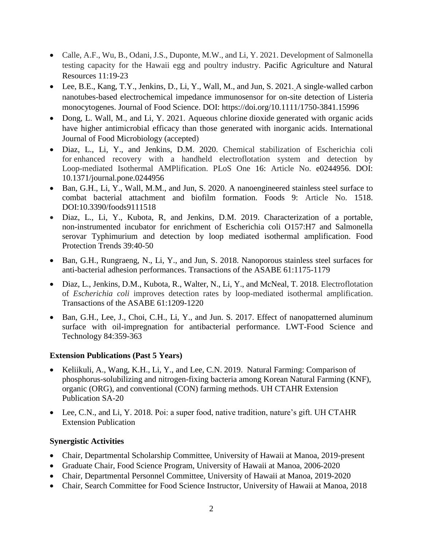- Calle, A.F., Wu, B., Odani, J.S., Duponte, M.W., and Li, Y. 2021. Development of Salmonella testing capacity for the Hawaii egg and poultry industry. Pacific Agriculture and Natural Resources 11:19-23
- Lee, B.E., Kang, T.Y., Jenkins, D., Li, Y., Wall, M., and Jun, S. 2021. A single-walled carbon nanotubes-based electrochemical impedance immunosensor for on-site detection of Listeria monocytogenes. Journal of Food Science. DOI:<https://doi.org/10.1111/1750-3841.15996>
- Dong, L. Wall, M., and Li, Y. 2021. Aqueous chlorine dioxide generated with organic acids have higher antimicrobial efficacy than those generated with inorganic acids. International Journal of Food Microbiology (accepted)
- Diaz, L., Li, Y., and Jenkins, D.M. 2020. Chemical stabilization of Escherichia coli for enhanced recovery with a handheld electroflotation system and detection by Loop-mediated Isothermal AMPlification. PLoS One 16: Article No. e0244956. DOI: 10.1371/journal.pone.0244956
- Ban, G.H., Li, Y., Wall, M.M., and Jun, S. 2020. A nanoengineered stainless steel surface to combat bacterial attachment and biofilm formation. Foods 9: Article No. 1518. DOI:10.3390/foods9111518
- Diaz, L., Li, Y., Kubota, R, and Jenkins, D.M. 2019. Characterization of a portable, non-instrumented incubator for enrichment of Escherichia coli O157:H7 and Salmonella serovar Typhimurium and detection by loop mediated isothermal amplification. Food Protection Trends 39:40-50
- Ban, G.H., Rungraeng, N., Li, Y., and Jun, S. 2018. Nanoporous stainless steel surfaces for anti-bacterial adhesion performances. Transactions of the ASABE 61:1175-1179
- Diaz, L., Jenkins, D.M., Kubota, R., Walter, N., Li, Y., and McNeal, T. 2018. Electroflotation of *Escherichia coli* improves detection rates by loop-mediated isothermal amplification. Transactions of the ASABE 61:1209-1220
- Ban, G.H., Lee, J., Choi, C.H., Li, Y., and Jun. S. 2017. Effect of nanopatterned aluminum surface with oil-impregnation for antibacterial performance. LWT-Food Science and Technology 84:359-363

# **Extension Publications (Past 5 Years)**

- Keliikuli, A., Wang, K.H., Li, Y., and Lee, C.N. 2019. Natural Farming: Comparison of phosphorus-solubilizing and nitrogen-fixing bacteria among Korean Natural Farming (KNF), organic (ORG), and conventional (CON) farming methods. UH CTAHR Extension Publication SA-20
- Lee, C.N., and Li, Y. 2018. Poi: a super food, native tradition, nature's gift. UH CTAHR Extension Publication

# **Synergistic Activities**

- Chair, Departmental Scholarship Committee, University of Hawaii at Manoa, 2019-present
- Graduate Chair, Food Science Program, University of Hawaii at Manoa, 2006-2020
- Chair, Departmental Personnel Committee, University of Hawaii at Manoa, 2019-2020
- Chair, Search Committee for Food Science Instructor, University of Hawaii at Manoa, 2018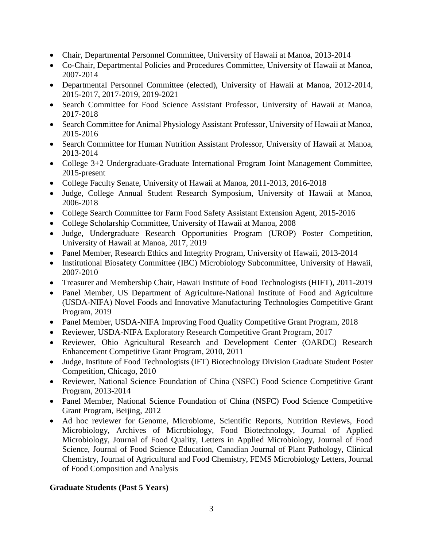- Chair, Departmental Personnel Committee, University of Hawaii at Manoa, 2013-2014
- Co-Chair, Departmental Policies and Procedures Committee, University of Hawaii at Manoa, 2007-2014
- Departmental Personnel Committee (elected), University of Hawaii at Manoa, 2012-2014, 2015-2017, 2017-2019, 2019-2021
- Search Committee for Food Science Assistant Professor, University of Hawaii at Manoa, 2017-2018
- Search Committee for Animal Physiology Assistant Professor, University of Hawaii at Manoa, 2015-2016
- Search Committee for Human Nutrition Assistant Professor, University of Hawaii at Manoa, 2013-2014
- College 3+2 Undergraduate-Graduate International Program Joint Management Committee, 2015-present
- College Faculty Senate, University of Hawaii at Manoa, 2011-2013, 2016-2018
- Judge, College Annual Student Research Symposium, University of Hawaii at Manoa, 2006-2018
- College Search Committee for Farm Food Safety Assistant Extension Agent, 2015-2016
- College Scholarship Committee, University of Hawaii at Manoa, 2008
- Judge, Undergraduate Research Opportunities Program (UROP) Poster Competition, University of Hawaii at Manoa, 2017, 2019
- Panel Member, Research Ethics and Integrity Program, University of Hawaii, 2013-2014
- Institutional Biosafety Committee (IBC) Microbiology Subcommittee, University of Hawaii, 2007-2010
- Treasurer and Membership Chair, Hawaii Institute of Food Technologists (HIFT), 2011-2019
- Panel Member, US Department of Agriculture-National Institute of Food and Agriculture (USDA-NIFA) Novel Foods and Innovative Manufacturing Technologies Competitive Grant Program, 2019
- Panel Member, USDA-NIFA Improving Food Quality Competitive Grant Program, 2018
- Reviewer, USDA-NIFA Exploratory Research Competitive Grant Program, 2017
- Reviewer, Ohio Agricultural Research and Development Center (OARDC) Research Enhancement Competitive Grant Program, 2010, 2011
- Judge, Institute of Food Technologists (IFT) Biotechnology Division Graduate Student Poster Competition, Chicago, 2010
- Reviewer, National Science Foundation of China (NSFC) Food Science Competitive Grant Program, 2013-2014
- Panel Member, National Science Foundation of China (NSFC) Food Science Competitive Grant Program, Beijing, 2012
- Ad hoc reviewer for Genome, Microbiome, Scientific Reports, Nutrition Reviews, Food Microbiology, Archives of Microbiology, Food Biotechnology, Journal of Applied Microbiology, Journal of Food Quality, Letters in Applied Microbiology, Journal of Food Science, Journal of Food Science Education, Canadian Journal of Plant Pathology, Clinical Chemistry, Journal of Agricultural and Food Chemistry, FEMS Microbiology Letters, Journal of Food Composition and Analysis

# **Graduate Students (Past 5 Years)**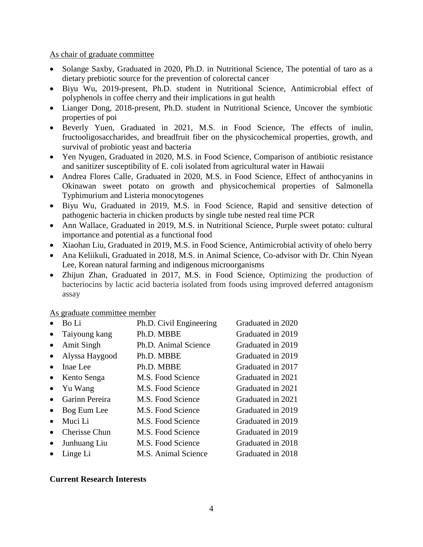As chair of graduate committee

- Solange Saxby, Graduated in 2020, Ph.D. in Nutritional Science, The potential of taro as a dietary prebiotic source for the prevention of colorectal cancer
- Biyu Wu, 2019-present, Ph.D. student in Nutritional Science, Antimicrobial effect of polyphenols in coffee cherry and their implications in gut health
- Lianger Dong, 2018-present, Ph.D. student in Nutritional Science, Uncover the symbiotic properties of poi
- Beverly Yuen, Graduated in 2021, M.S. in Food Science, The effects of inulin, fructooligosaccharides, and breadfruit fiber on the physicochemical properties, growth, and survival of probiotic yeast and bacteria
- Yen Nyugen, Graduated in 2020, M.S. in Food Science, Comparison of antibiotic resistance and sanitizer susceptibility of E. coli isolated from agricultural water in Hawaii
- Andrea Flores Calle, Graduated in 2020, M.S. in Food Science, Effect of anthocyanins in Okinawan sweet potato on growth and physicochemical properties of Salmonella Typhimurium and Listeria monocytogenes
- Biyu Wu, Graduated in 2019, M.S. in Food Science, Rapid and sensitive detection of pathogenic bacteria in chicken products by single tube nested real time PCR
- Ann Wallace, Graduated in 2019, M.S. in Nutritional Science, Purple sweet potato: cultural importance and potential as a functional food
- Xiaohan Liu, Graduated in 2019, M.S. in Food Science, Antimicrobial activity of ohelo berry
- Ana Keliikuli, Graduated in 2018, M.S. in Animal Science, Co-advisor with Dr. Chin Nyean Lee, Korean natural farming and indigenous microorganisms
- Zhijun Zhan, Graduated in 2017, M.S. in Food Science, Optimizing the production of bacteriocins by lactic acid bacteria isolated from foods using improved deferred antagonism assay

As graduate committee member

| Bo Li                | Ph.D. Civil Engineering | Graduated in 2020 |
|----------------------|-------------------------|-------------------|
| Taiyoung kang        | Ph.D. MBBE              | Graduated in 2019 |
| <b>Amit Singh</b>    | Ph.D. Animal Science    | Graduated in 2019 |
| Alyssa Haygood       | Ph.D. MBBE              | Graduated in 2019 |
| Inae Lee             | Ph.D. MBBE              | Graduated in 2017 |
| Kento Senga          | M.S. Food Science       | Graduated in 2021 |
| Yu Wang              | M.S. Food Science       | Graduated in 2021 |
| Garinn Pereira       | M.S. Food Science       | Graduated in 2021 |
| Bog Eum Lee          | M.S. Food Science       | Graduated in 2019 |
| Muci Li              | M.S. Food Science       | Graduated in 2019 |
| <b>Cherisse Chun</b> | M.S. Food Science       | Graduated in 2019 |
| Junhuang Liu         | M.S. Food Science       | Graduated in 2018 |
| Linge Li             | M.S. Animal Science     | Graduated in 2018 |
|                      |                         |                   |

# **Current Research Interests**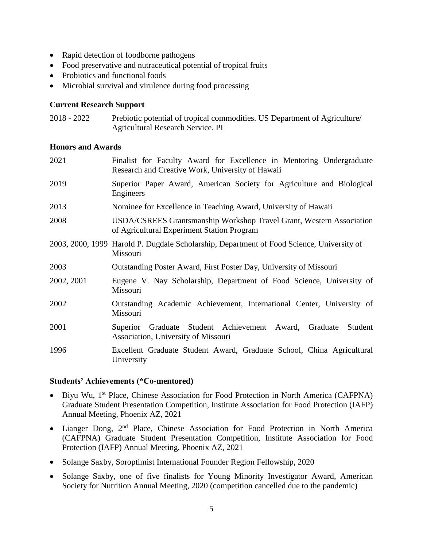- Rapid detection of foodborne pathogens
- Food preservative and nutraceutical potential of tropical fruits
- Probiotics and functional foods
- Microbial survival and virulence during food processing

## **Current Research Support**

| 2018 - 2022 | Prebiotic potential of tropical commodities. US Department of Agriculture/ |
|-------------|----------------------------------------------------------------------------|
|             | <b>Agricultural Research Service. PI</b>                                   |

## **Honors and Awards**

| 2021       | Finalist for Faculty Award for Excellence in Mentoring Undergraduate<br>Research and Creative Work, University of Hawaii  |
|------------|---------------------------------------------------------------------------------------------------------------------------|
| 2019       | Superior Paper Award, American Society for Agriculture and Biological<br>Engineers                                        |
| 2013       | Nominee for Excellence in Teaching Award, University of Hawaii                                                            |
| 2008       | <b>USDA/CSREES Grantsmanship Workshop Travel Grant, Western Association</b><br>of Agricultural Experiment Station Program |
|            | 2003, 2000, 1999 Harold P. Dugdale Scholarship, Department of Food Science, University of<br>Missouri                     |
| 2003       | Outstanding Poster Award, First Poster Day, University of Missouri                                                        |
| 2002, 2001 | Eugene V. Nay Scholarship, Department of Food Science, University of<br>Missouri                                          |
| 2002       | Outstanding Academic Achievement, International Center, University of<br>Missouri                                         |
| 2001       | Graduate Student Achievement Award,<br>Graduate<br>Student<br>Superior<br>Association, University of Missouri             |
| 1996       | Excellent Graduate Student Award, Graduate School, China Agricultural<br>University                                       |

### **Students' Achievements (\*Co-mentored)**

- Biyu Wu, 1<sup>st</sup> Place, Chinese Association for Food Protection in North America (CAFPNA) Graduate Student Presentation Competition, Institute Association for Food Protection (IAFP) Annual Meeting, Phoenix AZ, 2021
- Lianger Dong, 2<sup>nd</sup> Place, Chinese Association for Food Protection in North America (CAFPNA) Graduate Student Presentation Competition, Institute Association for Food Protection (IAFP) Annual Meeting, Phoenix AZ, 2021
- Solange Saxby, Soroptimist International Founder Region Fellowship, 2020
- Solange Saxby, one of five finalists for Young Minority Investigator Award, American Society for Nutrition Annual Meeting, 2020 (competition cancelled due to the pandemic)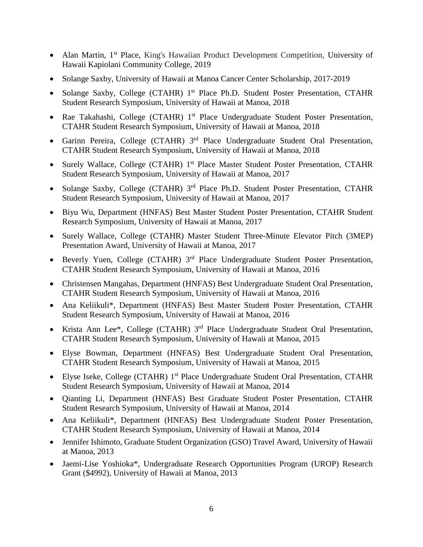- Alan Martin, 1<sup>st</sup> Place, King's Hawaiian Product Development Competition, University of Hawaii Kapiolani Community College, 2019
- Solange Saxby, University of Hawaii at Manoa Cancer Center Scholarship, 2017-2019
- Solange Saxby, College (CTAHR) 1<sup>st</sup> Place Ph.D. Student Poster Presentation, CTAHR Student Research Symposium, University of Hawaii at Manoa, 2018
- Rae Takahashi, College (CTAHR) 1<sup>st</sup> Place Undergraduate Student Poster Presentation, CTAHR Student Research Symposium, University of Hawaii at Manoa, 2018
- Garinn Pereira, College (CTAHR) 3<sup>rd</sup> Place Undergraduate Student Oral Presentation, CTAHR Student Research Symposium, University of Hawaii at Manoa, 2018
- Surely Wallace, College (CTAHR) 1<sup>st</sup> Place Master Student Poster Presentation, CTAHR Student Research Symposium, University of Hawaii at Manoa, 2017
- Solange Saxby, College (CTAHR) 3<sup>rd</sup> Place Ph.D. Student Poster Presentation, CTAHR Student Research Symposium, University of Hawaii at Manoa, 2017
- Biyu Wu, Department (HNFAS) Best Master Student Poster Presentation, CTAHR Student Research Symposium, University of Hawaii at Manoa, 2017
- Surely Wallace, College (CTAHR) Master Student Three-Minute Elevator Pitch (3MEP) Presentation Award, University of Hawaii at Manoa, 2017
- Beverly Yuen, College (CTAHR)  $3<sup>rd</sup>$  Place Undergraduate Student Poster Presentation, CTAHR Student Research Symposium, University of Hawaii at Manoa, 2016
- Christensen Mangahas, Department (HNFAS) Best Undergraduate Student Oral Presentation, CTAHR Student Research Symposium, University of Hawaii at Manoa, 2016
- Ana Keliikuli\*, Department (HNFAS) Best Master Student Poster Presentation, CTAHR Student Research Symposium, University of Hawaii at Manoa, 2016
- Krista Ann Lee\*, College (CTAHR) 3<sup>rd</sup> Place Undergraduate Student Oral Presentation, CTAHR Student Research Symposium, University of Hawaii at Manoa, 2015
- Elyse Bowman, Department (HNFAS) Best Undergraduate Student Oral Presentation, CTAHR Student Research Symposium, University of Hawaii at Manoa, 2015
- Elyse Iseke, College (CTAHR) 1<sup>st</sup> Place Undergraduate Student Oral Presentation, CTAHR Student Research Symposium, University of Hawaii at Manoa, 2014
- Qianting Li, Department (HNFAS) Best Graduate Student Poster Presentation, CTAHR Student Research Symposium, University of Hawaii at Manoa, 2014
- Ana Keliikuli\*, Department (HNFAS) Best Undergraduate Student Poster Presentation, CTAHR Student Research Symposium, University of Hawaii at Manoa, 2014
- Jennifer Ishimoto, Graduate Student Organization (GSO) Travel Award, University of Hawaii at Manoa, 2013
- Jaemi-Lise Yoshioka\*, Undergraduate Research Opportunities Program (UROP) Research Grant (\$4992), University of Hawaii at Manoa, 2013